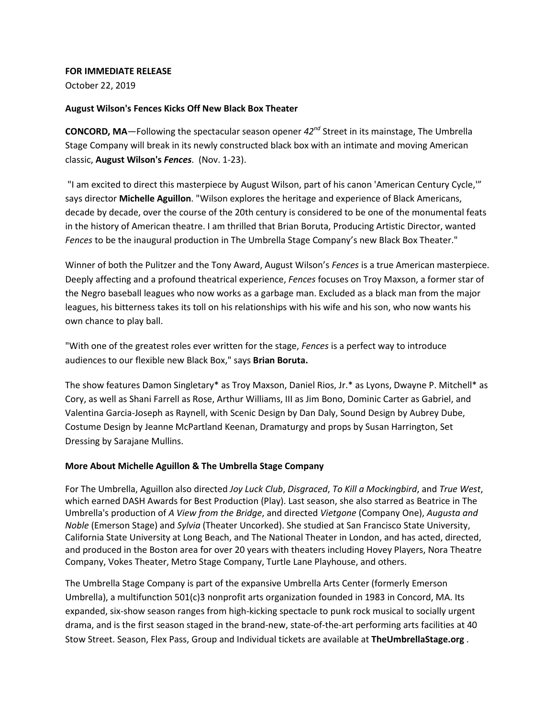#### **FOR IMMEDIATE RELEASE**

October 22, 2019

## **August Wilson's Fences Kicks Off New Black Box Theater**

**CONCORD, MA**—Following the spectacular season opener *42nd* Street in its mainstage, The Umbrella Stage Company will break in its newly constructed black box with an intimate and moving American classic, **August Wilson's** *Fences*. (Nov. 1-23).

"I am excited to direct this masterpiece by August Wilson, part of his canon 'American Century Cycle,'" says director **Michelle Aguillon**. "Wilson explores the heritage and experience of Black Americans, decade by decade, over the course of the 20th century is considered to be one of the monumental feats in the history of American theatre. I am thrilled that Brian Boruta, Producing Artistic Director, wanted *Fences* to be the inaugural production in The Umbrella Stage Company's new Black Box Theater."

Winner of both the Pulitzer and the Tony Award, August Wilson's *Fences* is a true American masterpiece. Deeply affecting and a profound theatrical experience, *Fences* focuses on Troy Maxson, a former star of the Negro baseball leagues who now works as a garbage man. Excluded as a black man from the major leagues, his bitterness takes its toll on his relationships with his wife and his son, who now wants his own chance to play ball.

"With one of the greatest roles ever written for the stage, *Fences* is a perfect way to introduce audiences to our flexible new Black Box," says **Brian Boruta.**

The show features Damon Singletary\* as Troy Maxson, Daniel Rios, Jr.\* as Lyons, Dwayne P. Mitchell\* as Cory, as well as Shani Farrell as Rose, Arthur Williams, III as Jim Bono, Dominic Carter as Gabriel, and Valentina Garcia-Joseph as Raynell, with Scenic Design by Dan Daly, Sound Design by Aubrey Dube, Costume Design by Jeanne McPartland Keenan, Dramaturgy and props by Susan Harrington, Set Dressing by Sarajane Mullins.

## **More About Michelle Aguillon & The Umbrella Stage Company**

For The Umbrella, Aguillon also directed *Joy Luck Club*, *Disgraced*, *To Kill a Mockingbird*, and *True West*, which earned DASH Awards for Best Production (Play). Last season, she also starred as Beatrice in The Umbrella's production of *A View from the Bridge*, and directed *Vietgone* (Company One), *Augusta and Noble* (Emerson Stage) and *Sylvia* (Theater Uncorked). She studied at San Francisco State University, California State University at Long Beach, and The National Theater in London, and has acted, directed, and produced in the Boston area for over 20 years with theaters including Hovey Players, Nora Theatre Company, Vokes Theater, Metro Stage Company, Turtle Lane Playhouse, and others.

The Umbrella Stage Company is part of the expansive Umbrella Arts Center (formerly Emerson Umbrella), a multifunction 501(c)3 nonprofit arts organization founded in 1983 in Concord, MA. Its expanded, six-show season ranges from high-kicking spectacle to punk rock musical to socially urgent drama, and is the first season staged in the brand-new, state-of-the-art performing arts facilities at 40 Stow Street. Season, Flex Pass, Group and Individual tickets are available at **TheUmbrellaStage.org** .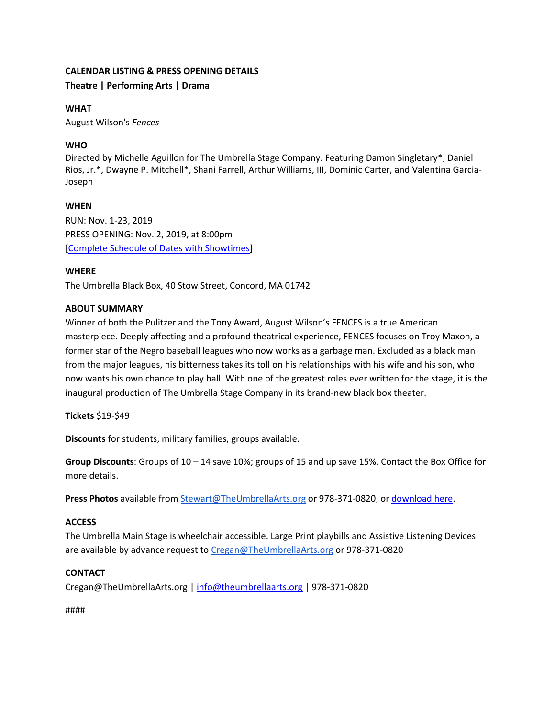# **CALENDAR LISTING & PRESS OPENING DETAILS Theatre | Performing Arts | Drama**

## **WHAT**

August Wilson's *Fences*

# **WHO**

Directed by Michelle Aguillon for The Umbrella Stage Company. Featuring Damon Singletary\*, Daniel Rios, Jr.\*, Dwayne P. Mitchell\*, Shani Farrell, Arthur Williams, III, Dominic Carter, and Valentina Garcia-Joseph

# **WHEN**

RUN: Nov. 1-23, 2019 PRESS OPENING: Nov. 2, 2019, at 8:00pm [\[Complete Schedule of Dates with Showtimes\]](https://theumbrellaarts.org/production/august-wilsons-fences)

# **WHERE**

The Umbrella Black Box, 40 Stow Street, Concord, MA 01742

## **ABOUT SUMMARY**

Winner of both the Pulitzer and the Tony Award, August Wilson's FENCES is a true American masterpiece. Deeply affecting and a profound theatrical experience, FENCES focuses on Troy Maxon, a former star of the Negro baseball leagues who now works as a garbage man. Excluded as a black man from the major leagues, his bitterness takes its toll on his relationships with his wife and his son, who now wants his own chance to play ball. With one of the greatest roles ever written for the stage, it is the inaugural production of The Umbrella Stage Company in its brand-new black box theater.

**Tickets** \$19-\$49

**Discounts** for students, military families, groups available.

**Group Discounts**: Groups of 10 – 14 save 10%; groups of 15 and up save 15%. Contact the Box Office for more details.

**Press Photos** available from [Stewart@TheUmbrellaArts.org](mailto:Stewart@TheUmbrellaArts.org) or 978-371-0820, or [download here.](https://www.dropbox.com/sh/kfdwpap5g6se8eq/AABXe1xN2y6DldXMI464VxQFa?dl=0)

## **ACCESS**

The Umbrella Main Stage is wheelchair accessible. Large Print playbills and Assistive Listening Devices are available by advance request to [Cregan@TheUmbrellaArts.org](mailto:Cregan@TheUmbrellaArts.org) or 978-371-0820

## **CONTACT**

Cregan@TheUmbrellaArts.org | [info@theumbrellaarts.org](mailto:info@theumbrellaarts.org) | 978-371-0820

####